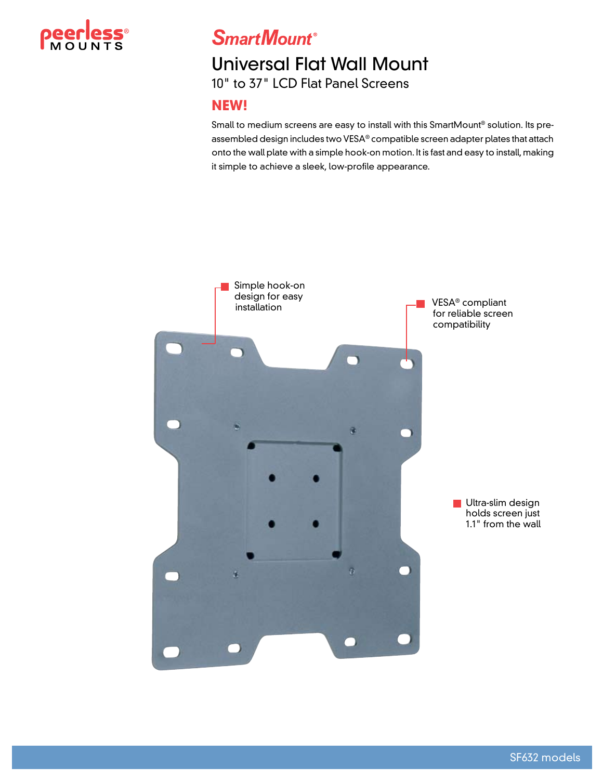

**SmartMount®** 

# Universal Flat Wall Mount

10" to 37" LCD Flat Panel Screens

#### **NEW!**

Small to medium screens are easy to install with this SmartMount® solution. Its preassembled design includes two VESA® compatible screen adapter plates that attach onto the wall plate with a simple hook-on motion. It is fast and easy to install, making it simple to achieve a sleek, low-profile appearance.